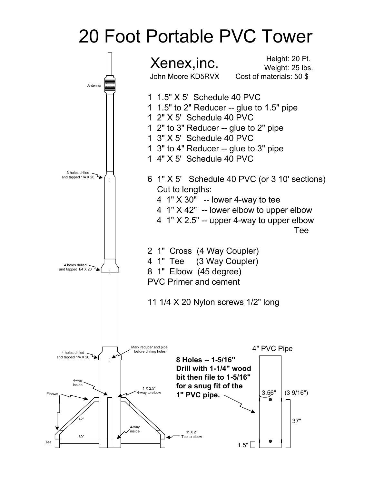## 20 Foot Portable PVC Tower